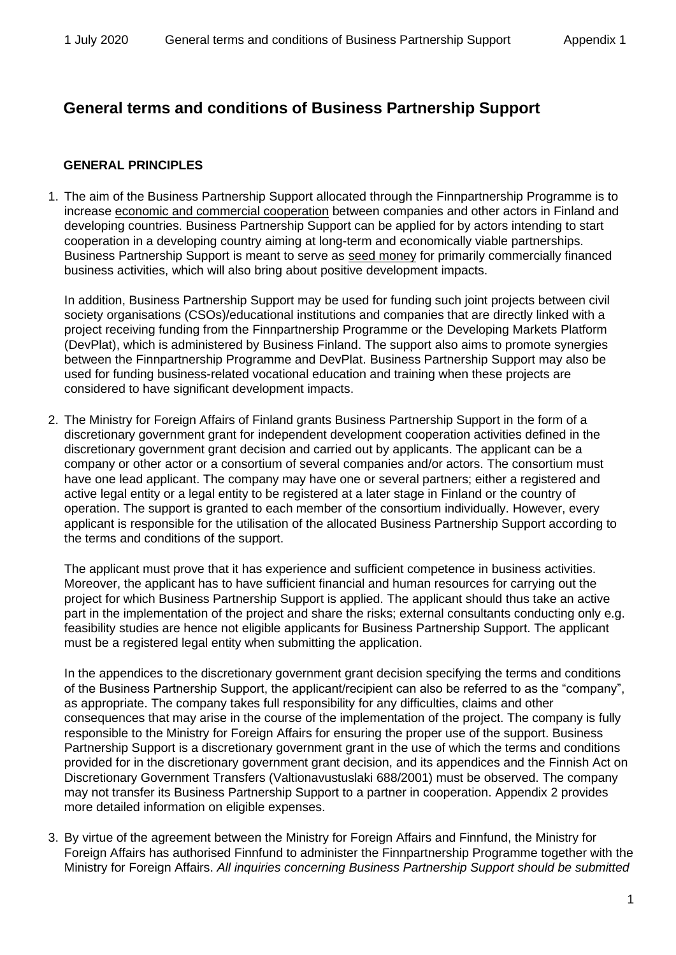# **General terms and conditions of Business Partnership Support**

#### **GENERAL PRINCIPLES**

1. The aim of the Business Partnership Support allocated through the Finnpartnership Programme is to increase economic and commercial cooperation between companies and other actors in Finland and developing countries. Business Partnership Support can be applied for by actors intending to start cooperation in a developing country aiming at long-term and economically viable partnerships. Business Partnership Support is meant to serve as seed money for primarily commercially financed business activities, which will also bring about positive development impacts.

In addition, Business Partnership Support may be used for funding such joint projects between civil society organisations (CSOs)/educational institutions and companies that are directly linked with a project receiving funding from the Finnpartnership Programme or the Developing Markets Platform (DevPlat), which is administered by Business Finland. The support also aims to promote synergies between the Finnpartnership Programme and DevPlat. Business Partnership Support may also be used for funding business-related vocational education and training when these projects are considered to have significant development impacts.

2. The Ministry for Foreign Affairs of Finland grants Business Partnership Support in the form of a discretionary government grant for independent development cooperation activities defined in the discretionary government grant decision and carried out by applicants. The applicant can be a company or other actor or a consortium of several companies and/or actors. The consortium must have one lead applicant. The company may have one or several partners; either a registered and active legal entity or a legal entity to be registered at a later stage in Finland or the country of operation. The support is granted to each member of the consortium individually. However, every applicant is responsible for the utilisation of the allocated Business Partnership Support according to the terms and conditions of the support.

The applicant must prove that it has experience and sufficient competence in business activities. Moreover, the applicant has to have sufficient financial and human resources for carrying out the project for which Business Partnership Support is applied. The applicant should thus take an active part in the implementation of the project and share the risks; external consultants conducting only e.g. feasibility studies are hence not eligible applicants for Business Partnership Support. The applicant must be a registered legal entity when submitting the application.

In the appendices to the discretionary government grant decision specifying the terms and conditions of the Business Partnership Support, the applicant/recipient can also be referred to as the "company", as appropriate. The company takes full responsibility for any difficulties, claims and other consequences that may arise in the course of the implementation of the project. The company is fully responsible to the Ministry for Foreign Affairs for ensuring the proper use of the support. Business Partnership Support is a discretionary government grant in the use of which the terms and conditions provided for in the discretionary government grant decision, and its appendices and the Finnish Act on Discretionary Government Transfers (Valtionavustuslaki 688/2001) must be observed. The company may not transfer its Business Partnership Support to a partner in cooperation. Appendix 2 provides more detailed information on eligible expenses.

3. By virtue of the agreement between the Ministry for Foreign Affairs and Finnfund, the Ministry for Foreign Affairs has authorised Finnfund to administer the Finnpartnership Programme together with the Ministry for Foreign Affairs. *All inquiries concerning Business Partnership Support should be submitted*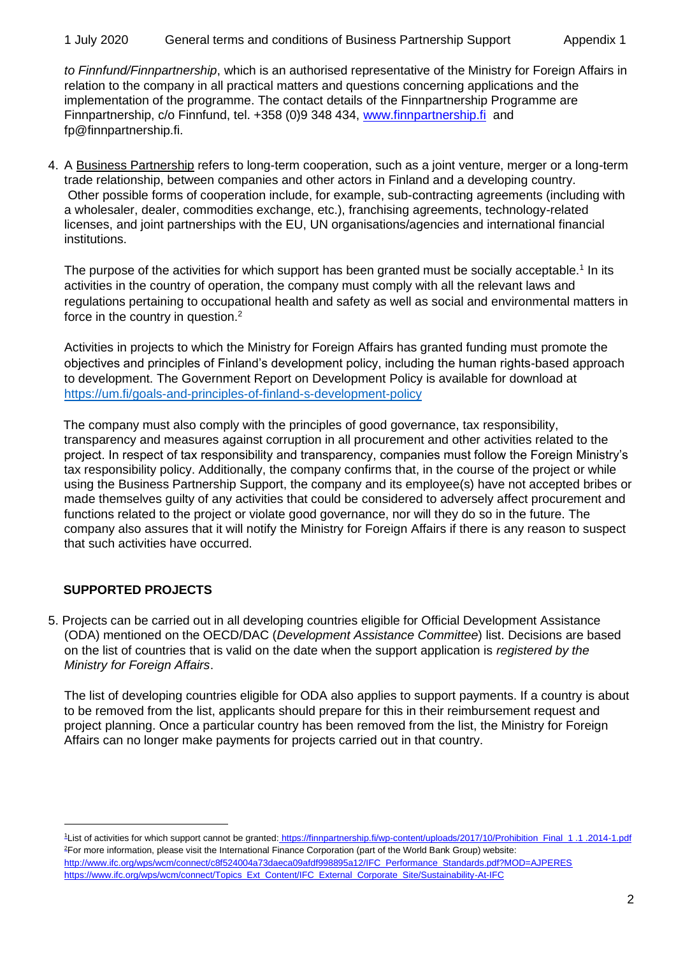#### 1 July 2020 General terms and conditions of Business Partnership Support Appendix 1

*to Finnfund/Finnpartnership*, which is an authorised representative of the Ministry for Foreign Affairs in relation to the company in all practical matters and questions concerning applications and the implementation of the programme. The contact details of the Finnpartnership Programme are Finnpartnership, c/o Finnfund, tel. +358 (0)9 348 434, [www.finnpartnership.fi](http://www.finnpartnership.fi/) and fp@finnpartnership.fi.

4. A Business Partnership refers to long-term cooperation, such as a joint venture, merger or a long-term trade relationship, between companies and other actors in Finland and a developing country. Other possible forms of cooperation include, for example, sub-contracting agreements (including with a wholesaler, dealer, commodities exchange, etc.), franchising agreements, technology-related licenses, and joint partnerships with the EU, UN organisations/agencies and international financial institutions.

The purpose of the activities for which support has been granted must be socially acceptable.<sup>1</sup> In its activities in the country of operation, the company must comply with all the relevant laws and regulations pertaining to occupational health and safety as well as social and environmental matters in force in the country in question.<sup>2</sup>

Activities in projects to which the Ministry for Foreign Affairs has granted funding must promote the objectives and principles of Finland's development policy, including the human rights-based approach to development. The Government Report on Development Policy is available for download at <https://um.fi/goals-and-principles-of-finland-s-development-policy>

The company must also comply with the principles of good governance, tax responsibility, transparency and measures against corruption in all procurement and other activities related to the project. In respect of tax responsibility and transparency, companies must follow the Foreign Ministry's tax responsibility policy. Additionally, the company confirms that, in the course of the project or while using the Business Partnership Support, the company and its employee(s) have not accepted bribes or made themselves guilty of any activities that could be considered to adversely affect procurement and functions related to the project or violate good governance, nor will they do so in the future. The company also assures that it will notify the Ministry for Foreign Affairs if there is any reason to suspect that such activities have occurred.

# **SUPPORTED PROJECTS**

5. Projects can be carried out in all developing countries eligible for Official Development Assistance (ODA) mentioned on the OECD/DAC (*Development Assistance Committee*) list. Decisions are based on the list of countries that is valid on the date when the support application is *registered by the Ministry for Foreign Affairs*.

The list of developing countries eligible for ODA also applies to support payments. If a country is about to be removed from the list, applicants should prepare for this in their reimbursement request and project planning. Once a particular country has been removed from the list, the Ministry for Foreign Affairs can no longer make payments for projects carried out in that country.

<sup>1</sup>List of activities for which support cannot be granted: https://finnpartnership.fi/wp-content/uploads/2017/10/Prohibition\_Final\_1 .1 .2014-1.pdf <sup>2</sup>For more information, please visit the International Finance Corporation (part of the World Bank Group) website: [http://www.ifc.org/wps/wcm/connect/c8f524004a73daeca09afdf998895a12/IFC\\_Performance\\_Standards.pdf?MOD=AJPERES](http://www.ifc.org/wps/wcm/connect/c8f524004a73daeca09afdf998895a12/IFC_Performance_Standards.pdf?MOD=AJPERES) https://www.ifc.org/wps/wcm/connect/Topics\_Ext\_[C](http://www.ifc.org/wps/wcm/connect/Topics_Ext_Content/IFC_External_Corporate_Site/IFC+Sustainability/)ontent/IFC\_External\_Corporate\_Site/Sustainability-At-IFC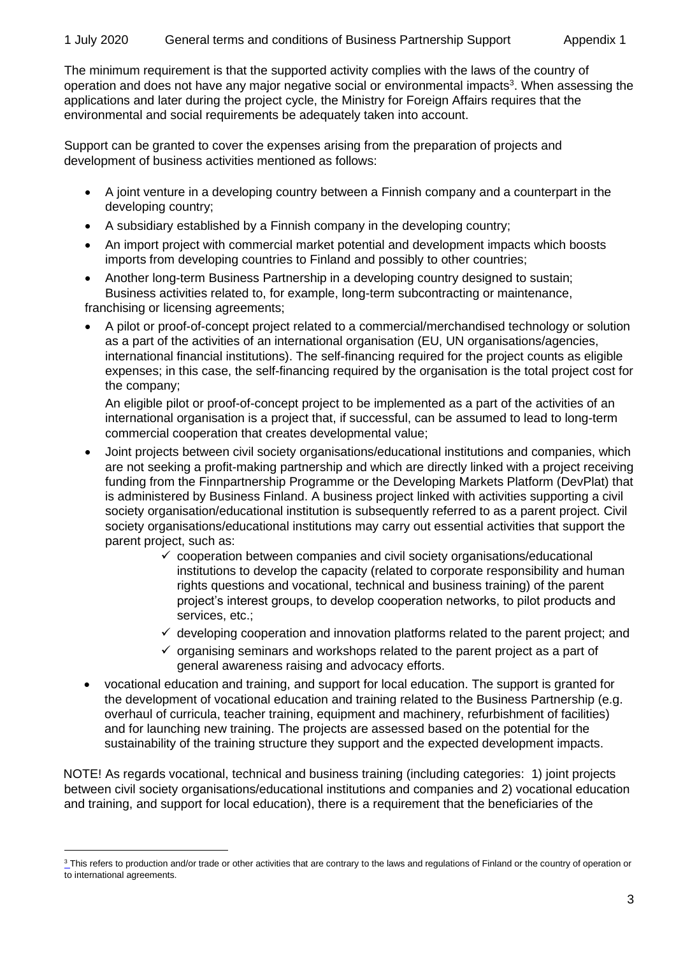The minimum requirement is that the supported activity complies with the laws of the country of operation and does not have any major negative social or environmental impacts<sup>3</sup>. When assessing the applications and later during the project cycle, the Ministry for Foreign Affairs requires that the environmental and social requirements be adequately taken into account.

Support can be granted to cover the expenses arising from the preparation of projects and development of business activities mentioned as follows:

- A joint venture in a developing country between a Finnish company and a counterpart in the developing country;
- A subsidiary established by a Finnish company in the developing country;
- An import project with commercial market potential and development impacts which boosts imports from developing countries to Finland and possibly to other countries;
- Another long-term Business Partnership in a developing country designed to sustain; Business activities related to, for example, long-term subcontracting or maintenance, franchising or licensing agreements;
- A pilot or proof-of-concept project related to a commercial/merchandised technology or solution as a part of the activities of an international organisation (EU, UN organisations/agencies, international financial institutions). The self-financing required for the project counts as eligible expenses; in this case, the self-financing required by the organisation is the total project cost for the company;

An eligible pilot or proof-of-concept project to be implemented as a part of the activities of an international organisation is a project that, if successful, can be assumed to lead to long-term commercial cooperation that creates developmental value;

- Joint projects between civil society organisations/educational institutions and companies, which are not seeking a profit-making partnership and which are directly linked with a project receiving funding from the Finnpartnership Programme or the Developing Markets Platform (DevPlat) that is administered by Business Finland. A business project linked with activities supporting a civil society organisation/educational institution is subsequently referred to as a parent project. Civil society organisations/educational institutions may carry out essential activities that support the parent project, such as:
	- $\checkmark$  cooperation between companies and civil society organisations/educational institutions to develop the capacity (related to corporate responsibility and human rights questions and vocational, technical and business training) of the parent project's interest groups, to develop cooperation networks, to pilot products and services, etc.;
	- $\checkmark$  developing cooperation and innovation platforms related to the parent project; and
	- $\checkmark$  organising seminars and workshops related to the parent project as a part of general awareness raising and advocacy efforts.
- vocational education and training, and support for local education. The support is granted for the development of vocational education and training related to the Business Partnership (e.g. overhaul of curricula, teacher training, equipment and machinery, refurbishment of facilities) and for launching new training. The projects are assessed based on the potential for the sustainability of the training structure they support and the expected development impacts.

NOTE! As regards vocational, technical and business training (including categories: 1) joint projects between civil society organisations/educational institutions and companies and 2) vocational education and training, and support for local education), there is a requirement that the beneficiaries of the

 $\frac{3}{2}$ This refers to production and/or trade or other activities that are contrary to the laws and regulations of Finland or the country of operation or to international agreements.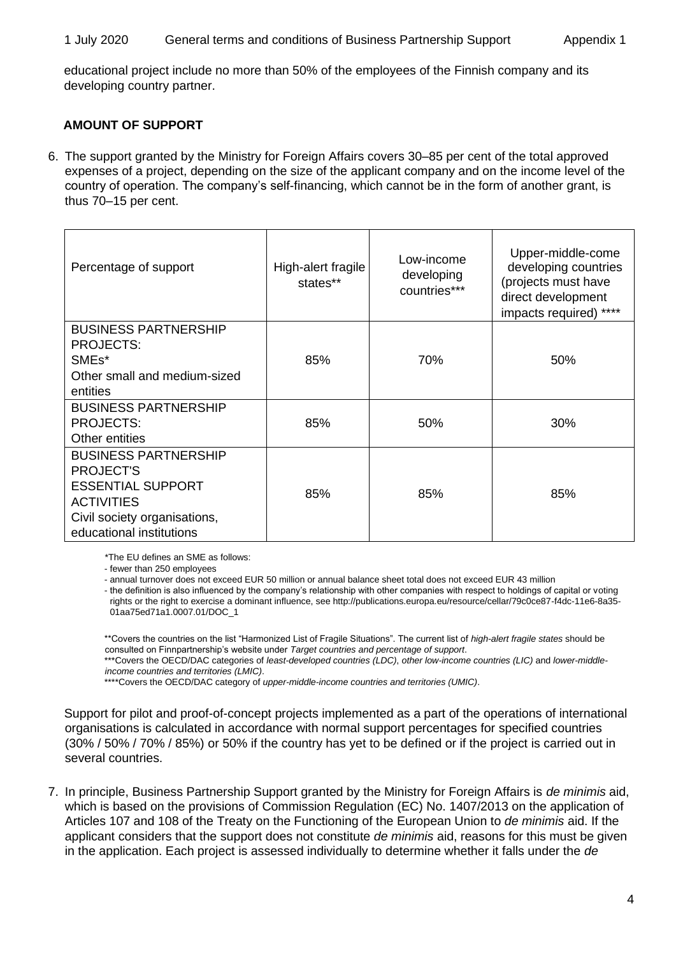#### 1 July 2020 General terms and conditions of Business Partnership Support Appendix 1

educational project include no more than 50% of the employees of the Finnish company and its developing country partner.

#### **AMOUNT OF SUPPORT**

6. The support granted by the Ministry for Foreign Affairs covers 30–85 per cent of the total approved expenses of a project, depending on the size of the applicant company and on the income level of the country of operation. The company's self-financing, which cannot be in the form of another grant, is thus 70–15 per cent.

| Percentage of support                  | High-alert fragile<br>states** | Low-income<br>developing<br>countries*** | Upper-middle-come<br>developing countries<br>(projects must have<br>direct development<br>impacts required)<br>**** |
|----------------------------------------|--------------------------------|------------------------------------------|---------------------------------------------------------------------------------------------------------------------|
| <b>BUSINESS PARTNERSHIP</b>            |                                |                                          |                                                                                                                     |
| <b>PROJECTS:</b><br>SME <sub>s</sub> * | 85%                            | 70%                                      | 50%                                                                                                                 |
| Other small and medium-sized           |                                |                                          |                                                                                                                     |
| entities                               |                                |                                          |                                                                                                                     |
| <b>BUSINESS PARTNERSHIP</b>            |                                |                                          |                                                                                                                     |
| <b>PROJECTS:</b>                       | 85%                            | 50%                                      | 30%                                                                                                                 |
| Other entities                         |                                |                                          |                                                                                                                     |
| <b>BUSINESS PARTNERSHIP</b>            |                                |                                          |                                                                                                                     |
| <b>PROJECT'S</b>                       |                                |                                          |                                                                                                                     |
| <b>ESSENTIAL SUPPORT</b>               | 85%                            | 85%                                      | 85%                                                                                                                 |
| <b>ACTIVITIES</b>                      |                                |                                          |                                                                                                                     |
| Civil society organisations,           |                                |                                          |                                                                                                                     |
| educational institutions               |                                |                                          |                                                                                                                     |

\*The EU defines an SME as follows:

- fewer than 250 employees

- annual turnover does not exceed EUR 50 million or annual balance sheet total does not exceed EUR 43 million

- the definition is also influenced by the company's relationship with other companies with respect to holdings of capital or voting rights or the right to exercise a dominant influence, see http://publications.europa.eu/resource/cellar/79c0ce87-f4dc-11e6-8a35- 01aa75ed71a1.0007.01/DOC\_1

\*\*Covers the countries on the list "Harmonized List of Fragile Situations". The current list of *high-alert fragile states* should be consulted on Finnpartnership's website under *Target countries and percentage of support*.

\*\*\*Covers the OECD/DAC categories of *least-developed countries (LDC)*, *other low-income countries (LIC)* and *lower-middleincome countries and territories (LMIC)*.

\*\*\*\*Covers the OECD/DAC category of *upper-middle-income countries and territories (UMIC)*.

Support for pilot and proof-of-concept projects implemented as a part of the operations of international organisations is calculated in accordance with normal support percentages for specified countries (30% / 50% / 70% / 85%) or 50% if the country has yet to be defined or if the project is carried out in several countries.

7. In principle, Business Partnership Support granted by the Ministry for Foreign Affairs is *de minimis* aid, which is based on the provisions of Commission Regulation (EC) No. 1407/2013 on the application of Articles 107 and 108 of the Treaty on the Functioning of the European Union to *de minimis* aid. If the applicant considers that the support does not constitute *de minimis* aid, reasons for this must be given in the application. Each project is assessed individually to determine whether it falls under the *de*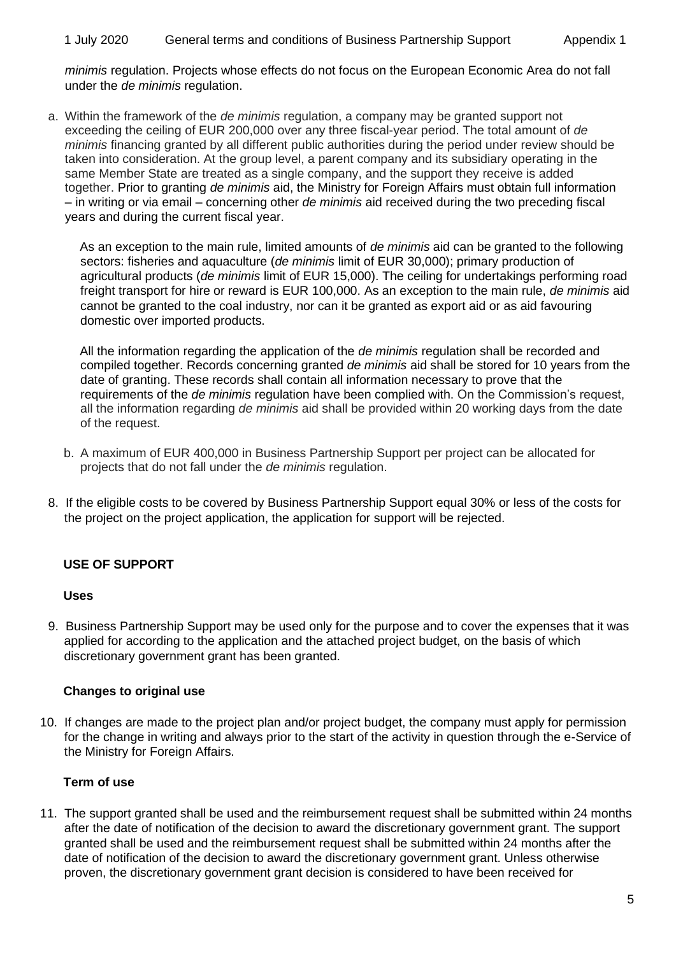*minimis* regulation. Projects whose effects do not focus on the European Economic Area do not fall under the *de minimis* regulation.

a. Within the framework of the *de minimis* regulation, a company may be granted support not exceeding the ceiling of EUR 200,000 over any three fiscal-year period. The total amount of *de minimis* financing granted by all different public authorities during the period under review should be taken into consideration. At the group level, a parent company and its subsidiary operating in the same Member State are treated as a single company, and the support they receive is added together. Prior to granting *de minimis* aid, the Ministry for Foreign Affairs must obtain full information – in writing or via email – concerning other *de minimis* aid received during the two preceding fiscal years and during the current fiscal year.

As an exception to the main rule, limited amounts of *de minimis* aid can be granted to the following sectors: fisheries and aquaculture (*de minimis* limit of EUR 30,000); primary production of agricultural products (*de minimis* limit of EUR 15,000). The ceiling for undertakings performing road freight transport for hire or reward is EUR 100,000. As an exception to the main rule, *de minimis* aid cannot be granted to the coal industry, nor can it be granted as export aid or as aid favouring domestic over imported products.

All the information regarding the application of the *de minimis* regulation shall be recorded and compiled together. Records concerning granted *de minimis* aid shall be stored for 10 years from the date of granting. These records shall contain all information necessary to prove that the requirements of the *de minimis* regulation have been complied with. On the Commission's request, all the information regarding *de minimis* aid shall be provided within 20 working days from the date of the request.

- b. A maximum of EUR 400,000 in Business Partnership Support per project can be allocated for projects that do not fall under the *de minimis* regulation.
- 8. If the eligible costs to be covered by Business Partnership Support equal 30% or less of the costs for the project on the project application, the application for support will be rejected.

# **USE OF SUPPORT**

#### **Uses**

9. Business Partnership Support may be used only for the purpose and to cover the expenses that it was applied for according to the application and the attached project budget, on the basis of which discretionary government grant has been granted.

#### **Changes to original use**

10. If changes are made to the project plan and/or project budget, the company must apply for permission for the change in writing and always prior to the start of the activity in question through the e-Service of the Ministry for Foreign Affairs.

### **Term of use**

11. The support granted shall be used and the reimbursement request shall be submitted within 24 months after the date of notification of the decision to award the discretionary government grant. The support granted shall be used and the reimbursement request shall be submitted within 24 months after the date of notification of the decision to award the discretionary government grant. Unless otherwise proven, the discretionary government grant decision is considered to have been received for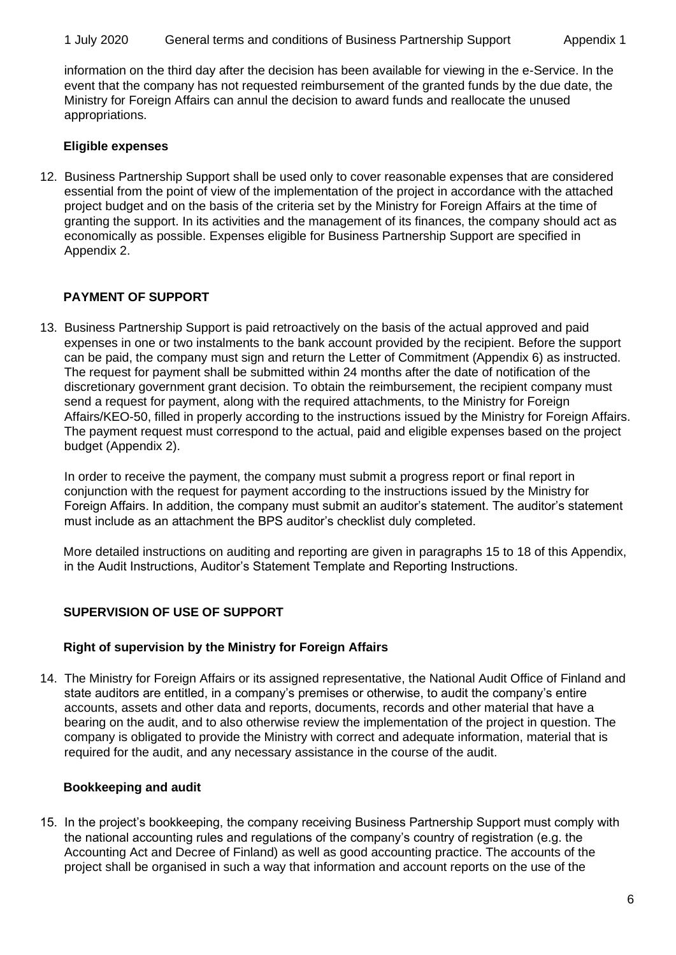#### 1 July 2020 General terms and conditions of Business Partnership Support Appendix 1

information on the third day after the decision has been available for viewing in the e-Service. In the event that the company has not requested reimbursement of the granted funds by the due date, the Ministry for Foreign Affairs can annul the decision to award funds and reallocate the unused appropriations.

### **Eligible expenses**

12. Business Partnership Support shall be used only to cover reasonable expenses that are considered essential from the point of view of the implementation of the project in accordance with the attached project budget and on the basis of the criteria set by the Ministry for Foreign Affairs at the time of granting the support. In its activities and the management of its finances, the company should act as economically as possible. Expenses eligible for Business Partnership Support are specified in Appendix 2.

# **PAYMENT OF SUPPORT**

13. Business Partnership Support is paid retroactively on the basis of the actual approved and paid expenses in one or two instalments to the bank account provided by the recipient. Before the support can be paid, the company must sign and return the Letter of Commitment (Appendix 6) as instructed. The request for payment shall be submitted within 24 months after the date of notification of the discretionary government grant decision. To obtain the reimbursement, the recipient company must send a request for payment, along with the required attachments, to the Ministry for Foreign Affairs/KEO-50, filled in properly according to the instructions issued by the Ministry for Foreign Affairs. The payment request must correspond to the actual, paid and eligible expenses based on the project budget (Appendix 2).

In order to receive the payment, the company must submit a progress report or final report in conjunction with the request for payment according to the instructions issued by the Ministry for Foreign Affairs. In addition, the company must submit an auditor's statement. The auditor's statement must include as an attachment the BPS auditor's checklist duly completed.

More detailed instructions on auditing and reporting are given in paragraphs 15 to 18 of this Appendix, in the Audit Instructions, Auditor's Statement Template and Reporting Instructions.

# **SUPERVISION OF USE OF SUPPORT**

#### **Right of supervision by the Ministry for Foreign Affairs**

14. The Ministry for Foreign Affairs or its assigned representative, the National Audit Office of Finland and state auditors are entitled, in a company's premises or otherwise, to audit the company's entire accounts, assets and other data and reports, documents, records and other material that have a bearing on the audit, and to also otherwise review the implementation of the project in question. The company is obligated to provide the Ministry with correct and adequate information, material that is required for the audit, and any necessary assistance in the course of the audit.

#### **Bookkeeping and audit**

15. In the project's bookkeeping, the company receiving Business Partnership Support must comply with the national accounting rules and regulations of the company's country of registration (e.g. the Accounting Act and Decree of Finland) as well as good accounting practice. The accounts of the project shall be organised in such a way that information and account reports on the use of the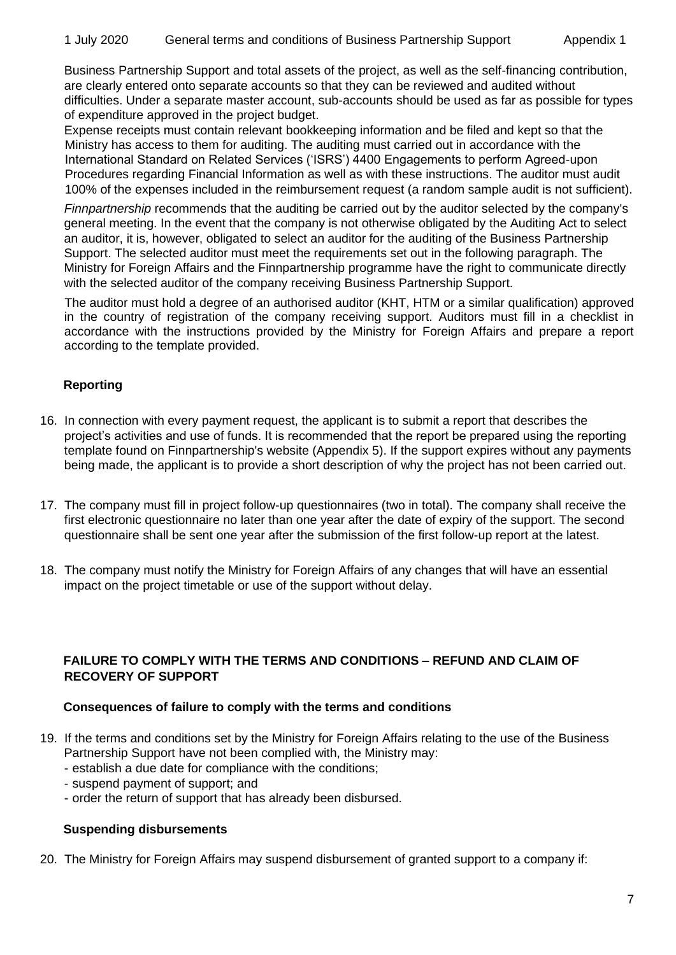Business Partnership Support and total assets of the project, as well as the self-financing contribution, are clearly entered onto separate accounts so that they can be reviewed and audited without difficulties. Under a separate master account, sub-accounts should be used as far as possible for types of expenditure approved in the project budget.

Expense receipts must contain relevant bookkeeping information and be filed and kept so that the Ministry has access to them for auditing. The auditing must carried out in accordance with the International Standard on Related Services ('ISRS') 4400 Engagements to perform Agreed-upon Procedures regarding Financial Information as well as with these instructions. The auditor must audit 100% of the expenses included in the reimbursement request (a random sample audit is not sufficient).

*Finnpartnership* recommends that the auditing be carried out by the auditor selected by the company's general meeting. In the event that the company is not otherwise obligated by the Auditing Act to select an auditor, it is, however, obligated to select an auditor for the auditing of the Business Partnership Support. The selected auditor must meet the requirements set out in the following paragraph. The Ministry for Foreign Affairs and the Finnpartnership programme have the right to communicate directly with the selected auditor of the company receiving Business Partnership Support.

The auditor must hold a degree of an authorised auditor (KHT, HTM or a similar qualification) approved in the country of registration of the company receiving support. Auditors must fill in a checklist in accordance with the instructions provided by the Ministry for Foreign Affairs and prepare a report according to the template provided.

# **Reporting**

- 16. In connection with every payment request, the applicant is to submit a report that describes the project's activities and use of funds. It is recommended that the report be prepared using the reporting template found on Finnpartnership's website (Appendix 5). If the support expires without any payments being made, the applicant is to provide a short description of why the project has not been carried out.
- 17. The company must fill in project follow-up questionnaires (two in total). The company shall receive the first electronic questionnaire no later than one year after the date of expiry of the support. The second questionnaire shall be sent one year after the submission of the first follow-up report at the latest.
- 18. The company must notify the Ministry for Foreign Affairs of any changes that will have an essential impact on the project timetable or use of the support without delay.

# **FAILURE TO COMPLY WITH THE TERMS AND CONDITIONS – REFUND AND CLAIM OF RECOVERY OF SUPPORT**

#### **Consequences of failure to comply with the terms and conditions**

- 19. If the terms and conditions set by the Ministry for Foreign Affairs relating to the use of the Business Partnership Support have not been complied with, the Ministry may:
	- establish a due date for compliance with the conditions;
	- suspend payment of support; and
	- order the return of support that has already been disbursed.

#### **Suspending disbursements**

20. The Ministry for Foreign Affairs may suspend disbursement of granted support to a company if: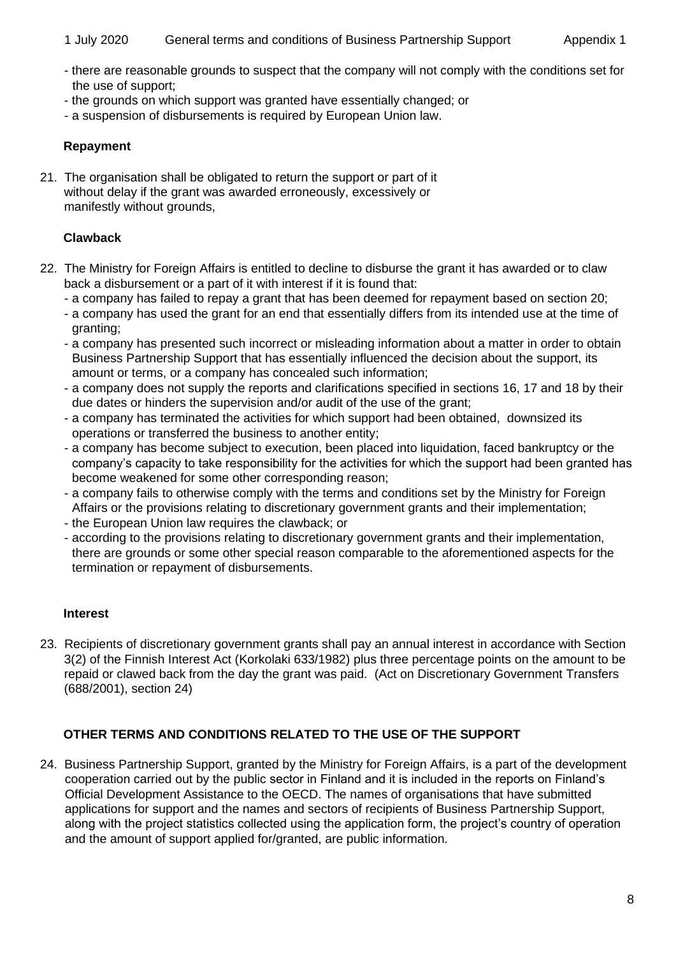- there are reasonable grounds to suspect that the company will not comply with the conditions set for the use of support;
- the grounds on which support was granted have essentially changed; or
- a suspension of disbursements is required by European Union law.

### **Repayment**

21. The organisation shall be obligated to return the support or part of it without delay if the grant was awarded erroneously, excessively or manifestly without grounds.

# **Clawback**

- 22. The Ministry for Foreign Affairs is entitled to decline to disburse the grant it has awarded or to claw back a disbursement or a part of it with interest if it is found that:
	- a company has failed to repay a grant that has been deemed for repayment based on section 20;
	- a company has used the grant for an end that essentially differs from its intended use at the time of granting;
	- a company has presented such incorrect or misleading information about a matter in order to obtain Business Partnership Support that has essentially influenced the decision about the support, its amount or terms, or a company has concealed such information;
	- a company does not supply the reports and clarifications specified in sections 16, 17 and 18 by their due dates or hinders the supervision and/or audit of the use of the grant;
	- a company has terminated the activities for which support had been obtained, downsized its operations or transferred the business to another entity;
	- a company has become subject to execution, been placed into liquidation, faced bankruptcy or the company's capacity to take responsibility for the activities for which the support had been granted has become weakened for some other corresponding reason;
	- a company fails to otherwise comply with the terms and conditions set by the Ministry for Foreign Affairs or the provisions relating to discretionary government grants and their implementation;
	- the European Union law requires the clawback; or
	- according to the provisions relating to discretionary government grants and their implementation, there are grounds or some other special reason comparable to the aforementioned aspects for the termination or repayment of disbursements.

# **Interest**

23. Recipients of discretionary government grants shall pay an annual interest in accordance with Section 3(2) of the Finnish Interest Act [\(Korkolaki 633/1982\)](https://www.finlex.fi/en/laki/kaannokset/1982/en19820633_20130032.pdf) plus three percentage points on the amount to be repaid or clawed back from the day the grant was paid. (Act on Discretionary Government Transfers (688/2001), section 24)

# **OTHER TERMS AND CONDITIONS RELATED TO THE USE OF THE SUPPORT**

24. Business Partnership Support, granted by the Ministry for Foreign Affairs, is a part of the development cooperation carried out by the public sector in Finland and it is included in the reports on Finland's Official Development Assistance to the OECD. The names of organisations that have submitted applications for support and the names and sectors of recipients of Business Partnership Support, along with the project statistics collected using the application form, the project's country of operation and the amount of support applied for/granted, are public information.